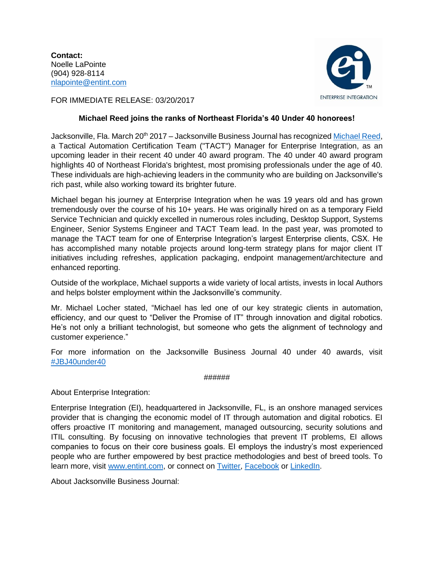**Contact:** Noelle LaPointe (904) 928-8114 [nlapointe@entint.com](mailto:nlapointe@entint.com)



FOR IMMEDIATE RELEASE: 03/20/2017

## **Michael Reed joins the ranks of Northeast Florida's 40 Under 40 honorees!**

Jacksonville, Fla. March 20<sup>th</sup> 2017 - Jacksonville Business Journal has recognized [Michael Reed,](http://www.bizjournals.com/jacksonville/news/2017/03/13/meet-jacksonvilles-most-successful-young-business.html#g32) a Tactical Automation Certification Team ("TACT") Manager for Enterprise Integration, as an upcoming leader in their recent 40 under 40 award program. The 40 under 40 award program highlights 40 of Northeast Florida's brightest, most promising professionals under the age of 40. These individuals are high-achieving leaders in the community who are building on Jacksonville's rich past, while also working toward its brighter future.

Michael began his journey at Enterprise Integration when he was 19 years old and has grown tremendously over the course of his 10+ years. He was originally hired on as a temporary Field Service Technician and quickly excelled in numerous roles including, Desktop Support, Systems Engineer, Senior Systems Engineer and TACT Team lead. In the past year, was promoted to manage the TACT team for one of Enterprise Integration's largest Enterprise clients, CSX. He has accomplished many notable projects around long-term strategy plans for major client IT initiatives including refreshes, application packaging, endpoint management/architecture and enhanced reporting.

Outside of the workplace, Michael supports a wide variety of local artists, invests in local Authors and helps bolster employment within the Jacksonville's community.

Mr. Michael Locher stated, "Michael has led one of our key strategic clients in automation, efficiency, and our quest to "Deliver the Promise of IT" through innovation and digital robotics. He's not only a brilliant technologist, but someone who gets the alignment of technology and customer experience."

For more information on the Jacksonville Business Journal 40 under 40 awards, visit [#JBJ40under40](https://www.bizjournals.com/jacksonville/event/156732/2017/40-under-40-awards)

## ######

About Enterprise Integration:

Enterprise Integration (EI), headquartered in Jacksonville, FL, is an onshore managed services provider that is changing the economic model of IT through automation and digital robotics. EI offers proactive IT monitoring and management, managed outsourcing, security solutions and ITIL consulting. By focusing on innovative technologies that prevent IT problems, EI allows companies to focus on their core business goals. EI employs the industry's most experienced people who are further empowered by best practice methodologies and best of breed tools. To learn more, visit [www.entint.com,](http://www.entint.com/) or connect on [Twitter,](https://twitter.com/entint) [Facebook](https://www.facebook.com/enterpriseintegration/) or [LinkedIn.](https://www.linkedin.com/company/enterprise-integration)

About Jacksonville Business Journal: